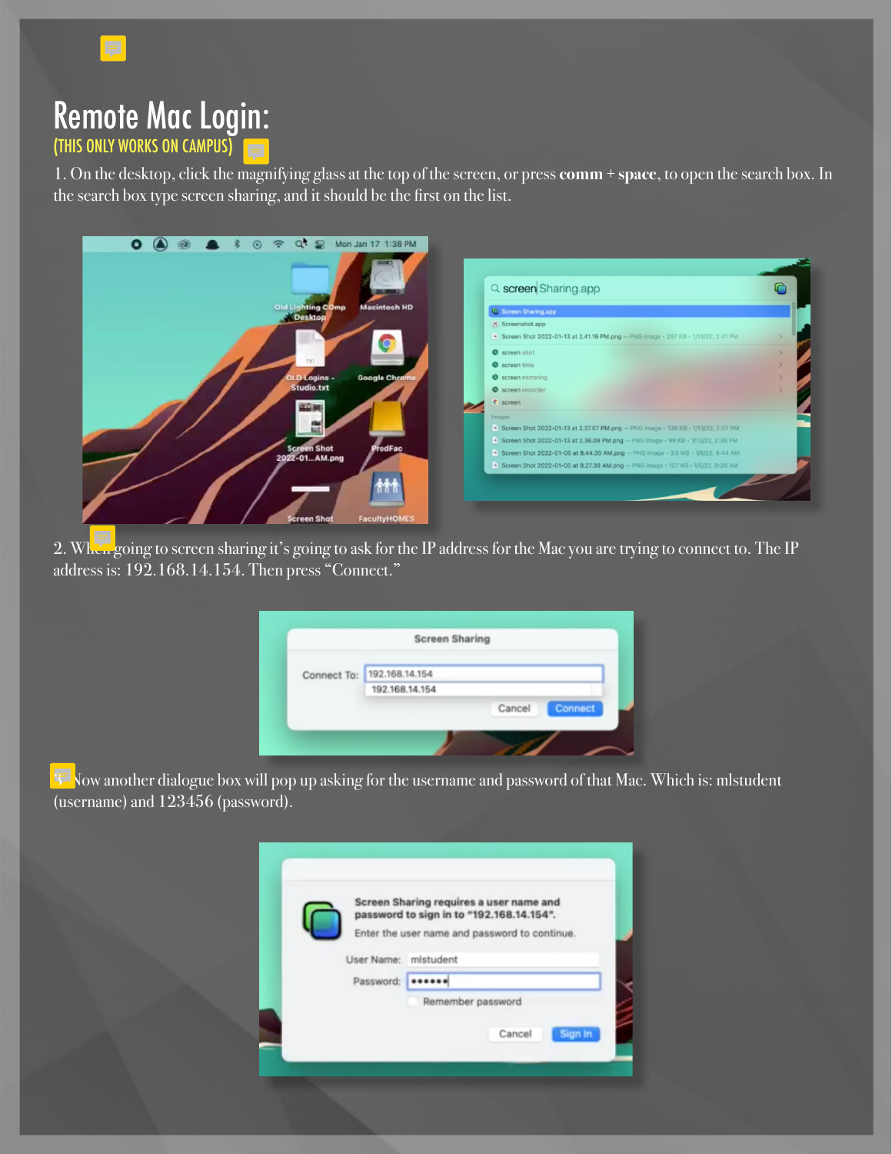

## Remote Mac Login: (THIS ONLY WORKS ON CAMPUS)

1. On the desktop, click the magnifying glass at the top of the screen, or press **comm + space**, to open the search box. In the search box type screen sharing, and it should be the first on the list.



2. When going to screen sharing it's going to ask for the IP address for the Mac you are trying to connect to. The IP address is: 192.168.14.154. Then press "Connect."

| <b>Screen Sharing</b>      |        |         |
|----------------------------|--------|---------|
| Connect To: 192.168.14.154 |        |         |
| 192.168.14.154             |        |         |
|                            | Cancel | Connect |
|                            |        |         |

 $3\overline{2}$  Now another dialogue box will pop up asking for the username and password of that Mac. Which is: mlstudent (username) and 123456 (password).

|           | Screen Sharing requires a user name and                                                   |  |
|-----------|-------------------------------------------------------------------------------------------|--|
|           | password to sign in to "192.168.14.154".<br>Enter the user name and password to continue. |  |
|           |                                                                                           |  |
|           | User Name: mistudent                                                                      |  |
| Password: |                                                                                           |  |
|           | Remember password                                                                         |  |
|           |                                                                                           |  |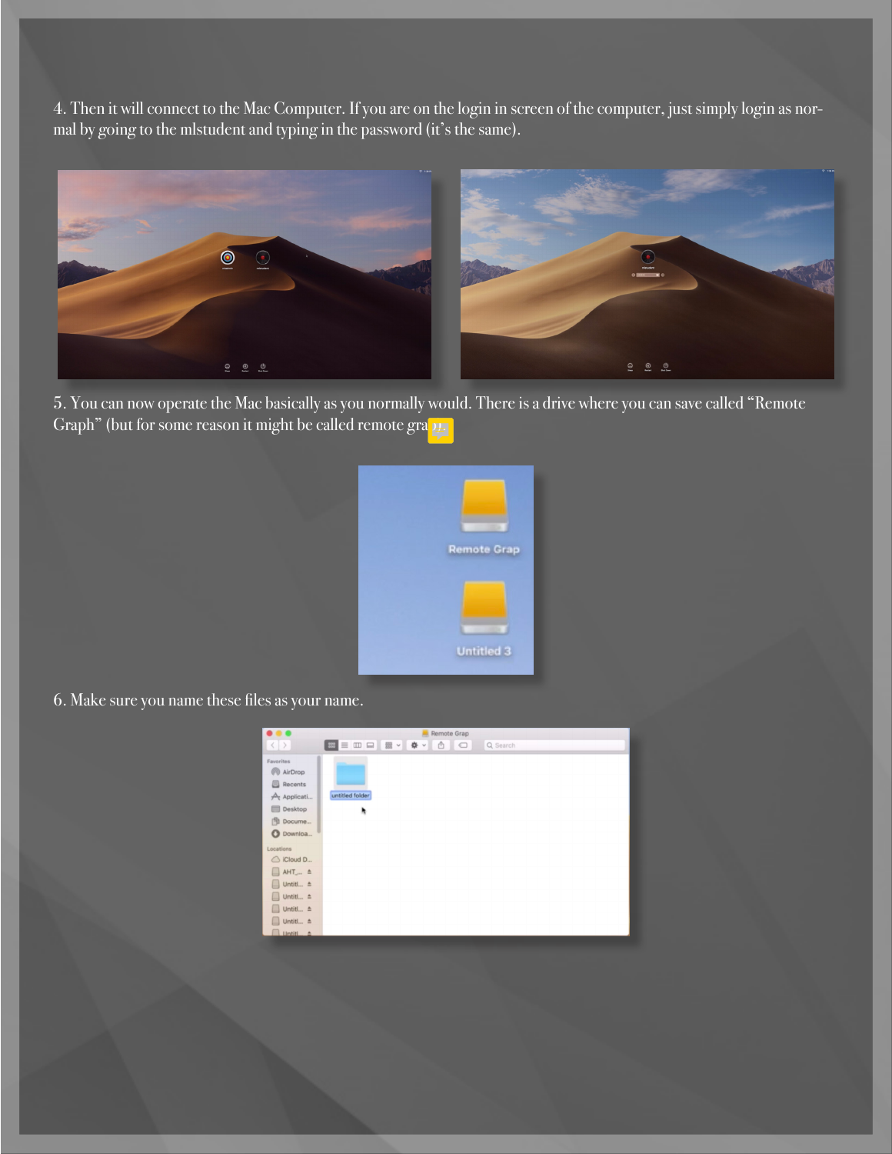4. Then it will connect to the Mac Computer. If you are on the login in screen of the computer, just simply login as normal by going to the mlstudent and typing in the password (it's the same).



5. You can now operate the Mac basically as you normally would. There is a drive where you can save called "Remote Graph" (but for some reason it might be called remote grap.



6. Make sure you name these files as your name.